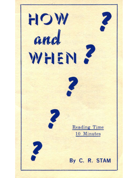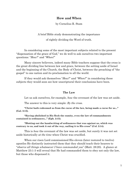# **How and When**

by Cornelius R. Stam

A brief Bible study demonstrating the importance of rightly dividing the Word of truth.

In considering some of the most important subjects related to the present "dispensation of the grace of God," we do well to ask ourselves two important questions: "*How?*" and "*When?*"

Many sincere believers, indeed many Bible teachers suppose that the cross is the great dividing line between law and grace, between the setting aside of Israel and the beginning of the Church, the Body of Christ, between the preaching of "the gospel" to one nation and its proclamation to all the world.

If they would ask themselves "*How?*" and "*When?*" in considering these subjects they would soon see how unscriptural their conclusions have been.

## **The Law**

Let us ask ourselves, for example, *how* the covenant of the law was set aside.

The answer to this is very simple: *By the cross*.

**"Christ hath redeemed us from the curse of the law, being made a curse for us..." (Gal. 3:13).**

**"Having abolished in His flesh the enmity, even the law of commandments contained in ordinances..." (Eph. 2:15).**

**"Blotting out the handwriting of ordinances that was against us, which was contrary to us, and took it out of the way, nailing it to His cross" (Col. 2:14).**

This is *how* the covenant of the law was set aside, but surely it was not set aside historically *at the time* when Christ was crucified.

When our risen Lord commissioned His eleven (later restored to twelve) apostles He distinctly instructed them that they should teach their hearers to "*observe all things whatsoever I have commanded you*" (Matt. 28:20). A glance at Matthew 23:1-3 will reveal that He had commanded them to obey not only the law, but those who dispensed it.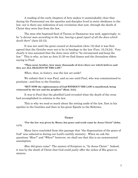A reading of the early chapters of Acts makes it unmistakably clear that during the Pentecostal era the apostles and disciples lived in strict obedience to the law, nor is there any indication of any revelation that now, through the death of Christ they were free from the law.

The man who baptized Saul of Tarsus at Damascus was said, approvingly, to be "*a devout man according to the law, having a good report of all the Jews which dwelt there*" (Acts 22:12).

It was not until the great council at Jerusalem (Acts 15) that it was first agreed that the *Gentiles* were not to be in bondage to the law (Vers. 10,19,24). Very clearly it was assumed that the Jews were still to "be circumcised and keep the law." This is why, as late as Acts 21:20 we find James and the Jerusalem elders saying to Paul:

# **"Thou seest, brother, how many thousands of Jews there are which believe; and they are ALL ZEALOUS OF THE LAW."**

*When*, then, in *history*, was the law set aside?

We submit that it was Paul, and no one until Paul, who was commissioned to proclaim—and first to the Gentiles:

# **"BUT NOW the righteousness of God WITHOUT THE LAW is manifested, being witnessed by the law and the prophets" (Rom. 3:21).**

It was to Paul that the glorified Lord revealed what the death of the cross had accomplished in relation to the law.

This is why we read so much about the setting aside of the law, first in his epistles to the Gentiles and then in his great Epistle to the Hebrews.

#### **Grace**

**"For the law was given by Moses, but grace and truth came by Jesus Christ" (John 1:17).**

Many have concluded from this passage that "the dispensation of the grace of God" was ushered in during our Lord's earthly ministry. When we ask the questions "*How?*" and "*When?*" however, we shall see that this is an unwarranted assumption.

*How* did grace come? The answer of Scripture is, "*by* Jesus Christ." Indeed, it was by the *death* of Christ that God could justly offer the riches of His grace to sinners.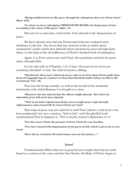**"Being justified freely by His grace** *through the redemption that is in Christ Jesus***" (Rom. 3:24).**

**"In whom we have redemption THROUGH HIS BLOOD, the forgiveness of sins, according to the riches of His grace" (Eph. 1:7).**

But now let us ask *when, historically*, God ushered in the dispensation of grace.

We have already seen that the Pentecostal believers rendered strict obedience to the law. Nor do we find any mention in the so-called "great commission" (under which they labored) about salvation by grace through faith alone, on the basis of the all-sufficiency of Christ's finished work of redemption.

Again, it is Paul, and no one until Paul, who proclaims salvation by grace alone, through faith.

It is he who tells in I Timothy 1:12-15 how "*the grace of our Lord was exceeding abundant*" to him, the chief of sinners, adding:

**"Howbeit for this cause I obtained mercy,** *that in me first Jesus Christ might show*  forth all longsuffering, for a pattern to them that should hereafter believe on Him to life *everlasting***" (Ver. 16).**

Paul was the living example, as well as the herald of the wonderful declaration with which Romans 5 is brought to a close:

**"Moreover the law entered that the offence might abound.** *But where sin abounded, grace did much more abound***:**

**"***That as sin hath reigned* **unto death,** *even so might grace reign* **through righteousness unto eternal life by Jesus Christ our Lord."**

This reign of grace was not ushered in until Paul, indeed, it had never even been prophesied, but was a mystery, "hid in God," until the glorified Lord commissioned Paul to dispense it. This is clearly stated in Ephesians 3:1-3:

**"For this cause I Paul, the prisoner of Jesus Christ for you Gentiles,**

**"If ye have heard of** *the dispensation of the grace of God***, which is given me to youward;**

**"How that** *by revelation He made known unto me the mystery***...."**

## **Israel**

Fundamentalist Bible believers in general have taught that God set aside Israel as a nation at the cross and that the Church, the Body of Christ, began at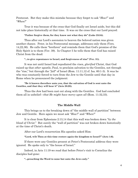Pentecost. But they make this mistake because they forget to ask "*How?*" and "*When?*"

True it was because of the cross that God finally set Israel aside, but this did not take place historically at that time. It was on the cross that our Lord prayed:

## **"Father forgive them, for they know not what they do" (Luke 23:34).**

Thus after our Lord's ascension to heaven the beloved nation was given another chance. Peter, in his Pentecostal message, addresses only them (Vers. 14,22,36). He calls them "brethren" and reminds them that God's promise of the Holy Spirit is to them (Ver. 39). In Chapter 5 he tells them that God has raised Christ from the dead:

#### **"...to give repentance to Israel, and forgiveness of sins" (Ver. 31).**

It was not until Israel had repudiated the *risen, glorified* Christ, that God raised up that *other* apostle, Paul, to proclaim salvation to the Gentiles, not through the "rise," but through the "*fall*" of Israel (Rom. 11:11,12 cf. Isa. 60:1-3). It was he who was constantly forced to turn from the Jew to the Gentile until that day in Rome when he pronounced the judgment:

# **"Be it known therefore unto you, that the salvation of God is sent unto the Gentiles, and that they will hear it" (Acts 28:28).**

Thus the Jew had been cast out along with the Gentiles. God had concluded them all in unbelief—*that He might have mercy upon all* (Rom. 11:32,33).

# **The Middle Wall**

This brings us to the breaking down of "the middle wall of partition" between Jew and Gentile. Here again we must ask "*How?*" and "*When?*"

It is clear from Ephesians 2:13,14 that this wall was broken down "*by the blood of Christ*." But surely the "wall of partition" was not broken down historically at the time of Christ's death.

After our Lord's resurrection His apostles asked Him:

#### **"Lord, wilt Thou at this time restore again the kingdom to Israel?" (Acts 1:6).**

If there were any Gentiles present at Peter's Pentecostal address they were ignored. He spoke only to "the house of Israel."

Indeed, in Acts 11:19 we read that before Peter's visit to Cornelius the disciples had gone:

**"...preaching the Word to none but unto the Jews only."**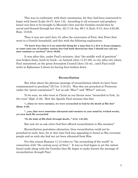This was in conformity with their commission, for they had been instructed to begin with Israel (Luke 24:47; Acts 1:8). According to all covenant and prophecy Israel was first to be brought to Messiah's feet and the Gentiles would then be saved and blessed through her (Gen. 22:17,18; Isa. 60:1-3; Zech. 8:13; Acts 3:25,26; Rom. 15:8,9).

Thus it was not until Acts 10, after the conversion of Paul, that Peter first went to a Gentile household, and this with the following explanation:

## **"Ye know how that it is an unlawful thing for a man that is a Jew to keep company, or come unto one of another nation; but God hath showed me that I should not call any man common or unclean" (Acts 10:28).**

It was after this, under Paul's ministry, that "the middle wall of partition" was broken down, brick by brick—at Antioch (Acts 11:27-30), in city after city where Paul ministered, at the great Jerusalem Council (Acts 15) etc., until Paul could write in Ephesians 2 about its *having been* broken down.

## **Reconciliation**

But what about the glorious message of reconciliation which we have been commissioned to proclaim? (II Cor. 5:18-21). Was this not preached at Pentecost under the "great commission"? Let us ask "*How?*" and "*When?*" and see.

To be sure, we who trust in Christ as our Savior were "reconciled to God...*by the cross*" (Eph. 2:16). How the Apostle Paul stresses this fact:

**"...when we were enemies, we were reconciled to God** *by the death of His Son***" (Rom. 5:10).**

**"...you, that were sometime alienated and enemies in your mind by wicked works, yet now hath He reconciled**

**"***In the body of His flesh through death***..." (Col. 1:21,22).**

But now let us ask *when* God first offered reconciliation to His enemies?

Reconciliation postulates alienation, thus reconciliation could not be preached in early Acts, for at this time God was appealing to Israel as His covenant people and as such she had not yet been alienated from Him.

For this reason Romans 11:15 refers to "the reconciling of the world" in connection with "*the casting away of them*." It was as God *began* to set the nation Israel aside along with the Gentiles that He *began* to make known the message of reconciliation *through Paul*.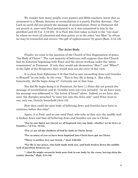We wonder how many people, even pastors and Bible teachers, know that as atonement is a Mosaic doctrine so reconciliation is a purely Pauline doctrine. Our Lord on earth did not preach the message of reconciliation, Peter at Pentecost did not preach it; none until Paul proclaimed it as it was committed to him by the glorified Lord (II Cor. 5:18-20). It is Paul who first takes us back to the "one man" by whom we were all alienated and then points us to the other "one Man" by whom we may be reconciled and receive "the gift of righteousness" by grace (Rom. 5:12-19).

# **The Joint Body**

Finally, we come to the question of the Church of this dispensation of grace, "the Body of Christ." The vast majority of believers still suppose that this Church had its historical beginning with Peter and the eleven working under the "great commission" at Pentecost. If only they would ask themselves "*How?*" and "*When?*" in the light of the Scriptures, they would soon see the error of this view.

It is clear from Ephesians 2:16 that God is now reconciling Jews and Gentiles to Himself "in one body, *by the cross*." This is *how* He is doing it. But *when*, historically, did He begin doing it? Certainly not at that time.

Nor did He begin doing it at Pentecost, for here 1.) Peter did *not* preach the message of reconciliation and 2). Gentiles were not even included. As we have seen, his message was addressed to "the house of Israel" alone. Indeed, as we have also seen, the disciples preached "to none but unto the Jews only" until Peter went to *one, only one*, Gentile household (Acts 10).

How then could the joint body of believing Jews and Gentiles have been in existence before this time?

Again, it is Paul, and no one until Paul, who tells us that *now* the middle wall is broken down and that all believing Jews and Gentiles are one in Christ:

**"For by one Spirit are [were] we all baptized into one body, whether we be Jews or Gentiles..." (I Cor. 12:13).**

**"For ye are all the children of God by faith in Christ Jesus.**

**"For as many of you as have been baptized into Christ have put on Christ.**

**"There is neither Jew nor Greek..." (Gal. 3:26-28).**

**"For He is our peace, who hath made both one, and hath broken down the middle wall of partition between us;**

**"...that He might reconcile both unto God in one body by the cross, having slain the enmity thereby" (Eph. 2:14-16).**